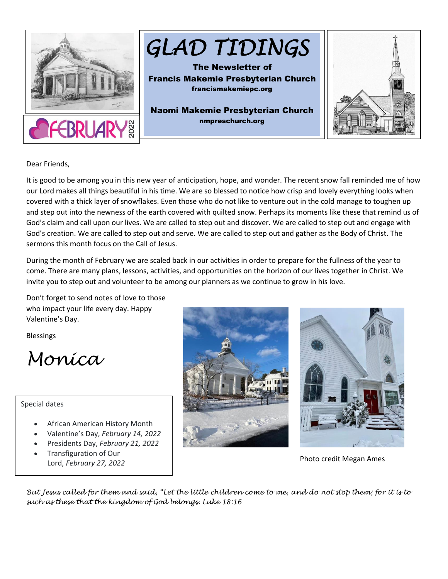

Dear Friends,

It is good to be among you in this new year of anticipation, hope, and wonder. The recent snow fall reminded me of how our Lord makes all things beautiful in his time. We are so blessed to notice how crisp and lovely everything looks when covered with a thick layer of snowflakes. Even those who do not like to venture out in the cold manage to toughen up and step out into the newness of the earth covered with quilted snow. Perhaps its moments like these that remind us of God's claim and call upon our lives. We are called to step out and discover. We are called to step out and engage with God's creation. We are called to step out and serve. We are called to step out and gather as the Body of Christ. The sermons this month focus on the Call of Jesus.

During the month of February we are scaled back in our activities in order to prepare for the fullness of the year to come. There are many plans, lessons, activities, and opportunities on the horizon of our lives together in Christ. We invite you to step out and volunteer to be among our planners as we continue to grow in his love.

Don't forget to send notes of love to those who impact your life every day. Happy Valentine's Day.

Blessings

*Monica*

Special dates

- African American History Month
- Valentine's Day, *February 14, 2022*
- Presidents Day, *February 21, 2022*
- Transfiguration of Our Lord, *February 27, 2022* Photo credit Megan Ames





*But Jesus called for them and said, "Let the little children come to me, and do not stop them; for it is to such as these that the kingdom of God belongs. Luke 18:16*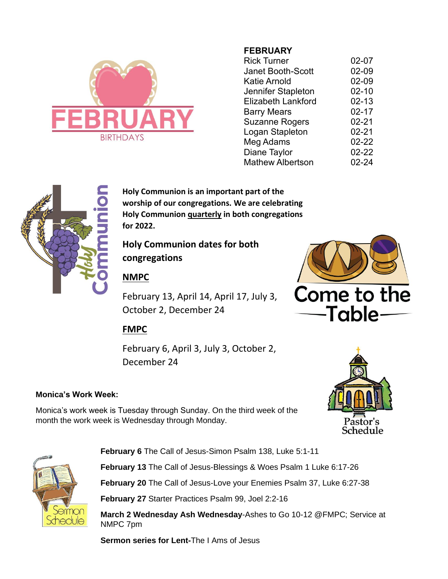

# **FEBRUARY**

| <b>Rick Turner</b>        | 02-07     |
|---------------------------|-----------|
| Janet Booth-Scott         | 02-09     |
| Katie Arnold              | 02-09     |
| Jennifer Stapleton        | $02 - 10$ |
| <b>Elizabeth Lankford</b> | 02-13     |
| <b>Barry Mears</b>        | $02 - 17$ |
| <b>Suzanne Rogers</b>     | $02 - 21$ |
| Logan Stapleton           | $02 - 21$ |
| Meg Adams                 | 02-22     |
| Diane Taylor              | 02-22     |
| <b>Mathew Albertson</b>   | 02-24     |



**Holy Communion is an important part of the worship of our congregations. We are celebrating Holy Communion quarterly in both congregations for 2022.** 

**Holy Communion dates for both congregations**

# **NMPC**

February 13, April 14, April 17, July 3, October 2, December 24



# **FMPC**

February 6, April 3, July 3, October 2, December 24

# **Monica's Work Week:**

Monica's work week is Tuesday through Sunday. On the third week of the month the work week is Wednesday through Monday.





**February 6** The Call of Jesus-Simon Psalm 138, Luke 5:1-11

**February 13** The Call of Jesus-Blessings & Woes Psalm 1 Luke 6:17-26

**February 20** The Call of Jesus-Love your Enemies Psalm 37, Luke 6:27-38

**February 27** Starter Practices Psalm 99, Joel 2:2-16

**March 2 Wednesday Ash Wednesday**-Ashes to Go 10-12 @FMPC; Service at NMPC 7pm

**Sermon series for Lent-**The I Ams of Jesus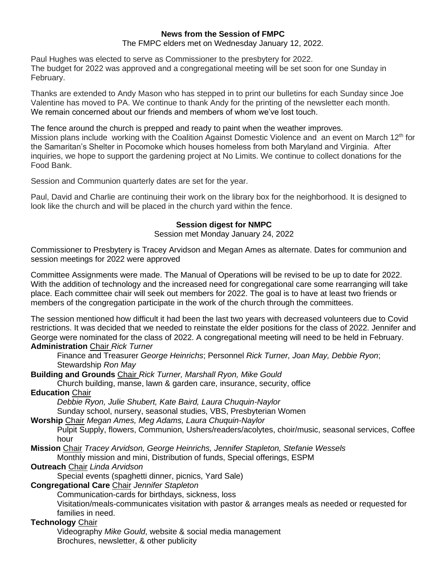### **News from the Session of FMPC**

The FMPC elders met on Wednesday January 12, 2022.

Paul Hughes was elected to serve as Commissioner to the presbytery for 2022. The budget for 2022 was approved and a congregational meeting will be set soon for one Sunday in February.

Thanks are extended to Andy Mason who has stepped in to print our bulletins for each Sunday since Joe Valentine has moved to PA. We continue to thank Andy for the printing of the newsletter each month. We remain concerned about our friends and members of whom we've lost touch.

The fence around the church is prepped and ready to paint when the weather improves. Mission plans include working with the Coalition Against Domestic Violence and an event on March  $12<sup>th</sup>$  for the Samaritan's Shelter in Pocomoke which houses homeless from both Maryland and Virginia. After inquiries, we hope to support the gardening project at No Limits. We continue to collect donations for the Food Bank.

Session and Communion quarterly dates are set for the year.

Paul, David and Charlie are continuing their work on the library box for the neighborhood. It is designed to look like the church and will be placed in the church yard within the fence.

### **Session digest for NMPC**

Session met Monday January 24, 2022

Commissioner to Presbytery is Tracey Arvidson and Megan Ames as alternate. Dates for communion and session meetings for 2022 were approved

Committee Assignments were made. The Manual of Operations will be revised to be up to date for 2022. With the addition of technology and the increased need for congregational care some rearranging will take place. Each committee chair will seek out members for 2022. The goal is to have at least two friends or members of the congregation participate in the work of the church through the committees.

The session mentioned how difficult it had been the last two years with decreased volunteers due to Covid restrictions. It was decided that we needed to reinstate the elder positions for the class of 2022. Jennifer and George were nominated for the class of 2022. A congregational meeting will need to be held in February.

## **Administration** Chair *Rick Turner*

Finance and Treasurer *George Heinrichs*; Personnel *Rick Turner, Joan May, Debbie Ryon*; Stewardship *Ron May*

**Building and Grounds** Chair *Rick Turner, Marshall Ryon, Mike Gould*

Church building, manse, lawn & garden care, insurance, security, office

### **Education** Chair

*Debbie Ryon, Julie Shubert, Kate Baird, Laura Chuquin-Naylor*

Sunday school, nursery, seasonal studies, VBS, Presbyterian Women

**Worship** Chair *Megan Ames, Meg Adams, Laura Chuquin-Naylor*

Pulpit Supply, flowers, Communion, Ushers/readers/acolytes, choir/music, seasonal services, Coffee hour

**Mission** Chair *Tracey Arvidson, George Heinrichs, Jennifer Stapleton, Stefanie Wessels*

Monthly mission and mini, Distribution of funds, Special offerings, ESPM

# **Outreach** Chair *Linda Arvidson*

Special events (spaghetti dinner, picnics, Yard Sale)

### **Congregational Care** Chair *Jennifer Stapleton*

Communication-cards for birthdays, sickness, loss

Visitation/meals-communicates visitation with pastor & arranges meals as needed or requested for families in need.

## **Technology** Chair

Videography *Mike Gould*, website & social media management Brochures, newsletter, & other publicity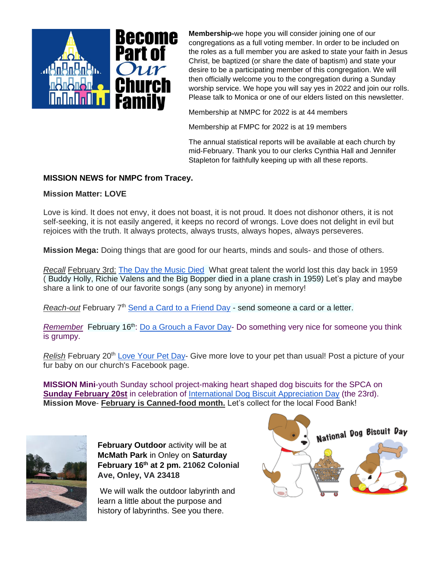

**Membership-**we hope you will consider joining one of our congregations as a full voting member. In order to be included on the roles as a full member you are asked to state your faith in Jesus Christ, be baptized (or share the date of baptism) and state your desire to be a participating member of this congregation. We will then officially welcome you to the congregation during a Sunday worship service. We hope you will say yes in 2022 and join our rolls. Please talk to Monica or one of our elders listed on this newsletter.

Membership at NMPC for 2022 is at 44 members

Membership at FMPC for 2022 is at 19 members

The annual statistical reports will be available at each church by mid-February. Thank you to our clerks Cynthia Hall and Jennifer Stapleton for faithfully keeping up with all these reports.

## **MISSION NEWS for NMPC from Tracey.**

### **Mission Matter: LOVE**

Love is kind. It does not envy, it does not boast, it is not proud. It does not dishonor others, it is not self-seeking, it is not easily angered, it keeps no record of wrongs. Love does not delight in evil but rejoices with the truth. It always protects, always trusts, always hopes, always perseveres.

**Mission Mega:** Doing things that are good for our hearts, minds and souls- and those of others.

*Recall* February 3rd: [The Day the Music Died](http://www.holidayinsights.com/moreholidays/February/daymusicdied.htm) What great talent the world lost this day back in 1959 ( Buddy Holly, Richie Valens and the Big Bopper died in a plane crash in 1959) Let's play and maybe share a link to one of our favorite songs (any song by anyone) in memory!

*Reach-out* February 7<sup>th</sup> [Send a Card to a Friend Day](http://www.holidayinsights.com/moreholidays/February/sendacardday.htm) - send someone a card or a letter.

*Remember* February 16<sup>th</sup>: [Do a Grouch a Favor Day-](http://www.holidayinsights.com/moreholidays/February/grouchfavorday.htm) Do something very nice for someone you think is grumpy.

*Relish* February 20<sup>th</sup> [Love Your Pet Day-](http://www.holidayinsights.com/moreholidays/February/loveyourpetday.htm) Give more love to your pet than usual! Post a picture of your fur baby on our church's Facebook page.

**MISSION Mini**-youth Sunday school project-making heart shaped dog biscuits for the SPCA on **Sunday February 20st** in celebration of [International Dog Biscuit Appreciation Day](http://www.holidayinsights.com/moreholidays/February/dogbiscuitday.htm) (the 23rd). **Mission Move**- **February is Canned-food month.** Let's collect for the local Food Bank!



**February Outdoor** activity will be at **McMath Park** in Onley on **Saturday February 16th at 2 pm. 21062 Colonial Ave, Onley, VA 23418**

We will walk the outdoor labyrinth and learn a little about the purpose and history of labyrinths. See you there.

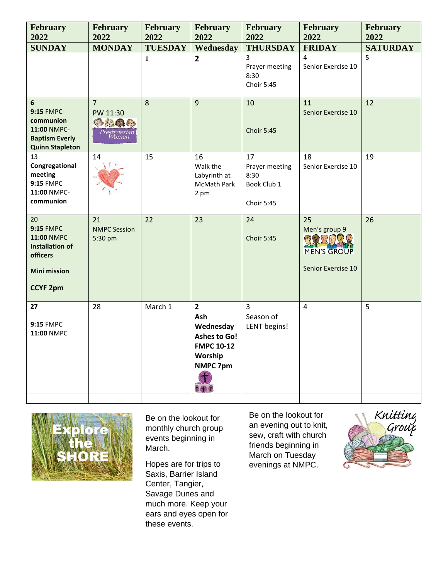| <b>February</b><br>2022                                                                                              | <b>February</b><br>2022                                               | <b>February</b><br>2022 | February<br>2022                                                                                      | <b>February</b><br>2022                                   | February<br>2022                                                          | February<br>2022 |
|----------------------------------------------------------------------------------------------------------------------|-----------------------------------------------------------------------|-------------------------|-------------------------------------------------------------------------------------------------------|-----------------------------------------------------------|---------------------------------------------------------------------------|------------------|
| <b>SUNDAY</b>                                                                                                        | <b>MONDAY</b>                                                         | <b>TUESDAY</b>          | Wednesday                                                                                             | <b>THURSDAY</b>                                           | <b>FRIDAY</b>                                                             | <b>SATURDAY</b>  |
|                                                                                                                      |                                                                       | $\mathbf{1}$            | $\overline{2}$                                                                                        | 3<br>Prayer meeting<br>8:30<br>Choir 5:45                 | 4<br>Senior Exercise 10                                                   | 5                |
| 6<br><b>9:15 FMPC-</b><br>communion<br>11:00 NMPC-<br><b>Baptism Everly</b><br><b>Quinn Stapleton</b>                | $\overline{7}$<br>PW 11:30<br><b>CARACTE</b><br>Presbyterian<br>Women | 8                       | 9                                                                                                     | 10<br><b>Choir 5:45</b>                                   | 11<br>Senior Exercise 10                                                  | 12               |
| 13<br>Congregational<br>meeting<br><b>9:15 FMPC</b><br>11:00 NMPC-<br>communion                                      | 14                                                                    | 15                      | 16<br>Walk the<br>Labyrinth at<br>McMath Park<br>2 pm                                                 | 17<br>Prayer meeting<br>8:30<br>Book Club 1<br>Choir 5:45 | 18<br>Senior Exercise 10                                                  | 19               |
| 20<br><b>9:15 FMPC</b><br>11:00 NMPC<br><b>Installation of</b><br>officers<br><b>Mini mission</b><br><b>CCYF 2pm</b> | 21<br><b>NMPC Session</b><br>5:30 pm                                  | 22                      | 23                                                                                                    | 24<br><b>Choir 5:45</b>                                   | 25<br>Men's group 9<br>网络罗尼塞西<br><b>MEN'S GROUP</b><br>Senior Exercise 10 | 26               |
| 27<br><b>9:15 FMPC</b><br>11:00 NMPC                                                                                 | 28                                                                    | March 1                 | $\overline{2}$<br>Ash<br>Wednesday<br><b>Ashes to Go!</b><br><b>FMPC 10-12</b><br>Worship<br>NMPC 7pm | $\overline{3}$<br>Season of<br>LENT begins!               | 4                                                                         | 5                |



Be on the lookout for monthly church group events beginning in March.

Hopes are for trips to Saxis, Barrier Island Center, Tangier, Savage Dunes and much more. Keep your ears and eyes open for these events.

Be on the lookout for an evening out to knit, sew, craft with church friends beginning in March on Tuesday evenings at NMPC.